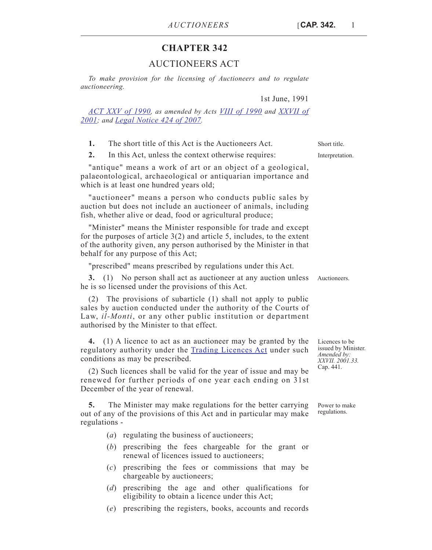## **CHAPTER 342**

## AUCTIONEERS ACT

*To make provision for the licensing of Auctioneers and to regulate auctioneering.*

1st June, 1991

*[ACT XXV of 1990,](http://www.justiceservices.gov.mt/DownloadDocument.aspx?app=lp&itemid=24323&l=1) as amended by Acts [VIII of 1990](http://www.justiceservices.gov.mt/DownloadDocument.aspx?app=lp&itemid=24281&l=1) and [XXVII of](http://www.justiceservices.gov.mt/DownloadDocument.aspx?app=lp&itemid=16357&l=1) [2001](http://www.justiceservices.gov.mt/DownloadDocument.aspx?app=lp&itemid=16357&l=1); and [Legal Notice 424 of 2007.](http://www.justiceservices.gov.mt/DownloadDocument.aspx?app=lp&itemid=20416&l=1)*

**1.** The short title of this Act is the Auctioneers Act. Short title.

**2.** In this Act, unless the context otherwise requires: Interpretation.

"antique" means a work of art or an object of a geological, palaeontological, archaeological or antiquarian importance and which is at least one hundred years old;

"auctioneer" means a person who conducts public sales by auction but does not include an auctioneer of animals, including fish, whether alive or dead, food or agricultural produce;

"Minister" means the Minister responsible for trade and except for the purposes of article 3(2) and article 5, includes, to the extent of the authority given, any person authorised by the Minister in that behalf for any purpose of this Act;

"prescribed" means prescribed by regulations under this Act.

**3.** (1) No person shall act as auctioneer at any auction unless Auctioneers. he is so licensed under the provisions of this Act.

(2) The provisions of subarticle (1) shall not apply to public sales by auction conducted under the authority of the Courts of Law, *il-Monti*, or any other public institution or department authorised by the Minister to that effect.

**4.** (1) A licence to act as an auctioneer may be granted by the regulatory authority under the **[Trading Licences Act](http://www.justiceservices.gov.mt/DownloadDocument.aspx?app=lom&itemid=8907&l=1)** under such conditions as may be prescribed.

(2) Such licences shall be valid for the year of issue and may be renewed for further periods of one year each ending on 31st December of the year of renewal.

**5.** The Minister may make regulations for the better carrying out of any of the provisions of this Act and in particular may make regulations -

(*a*) regulating the business of auctioneers;

- (*b*) prescribing the fees chargeable for the grant or renewal of licences issued to auctioneers;
- (*c*) prescribing the fees or commissions that may be chargeable by auctioneers;
- (*d*) prescribing the age and other qualifications for eligibility to obtain a licence under this Act;
- (*e*) prescribing the registers, books, accounts and records

Licences to be issued by Minister. *Amended by: XXVII. 2001.33.* Cap. 441.

Power to make regulations.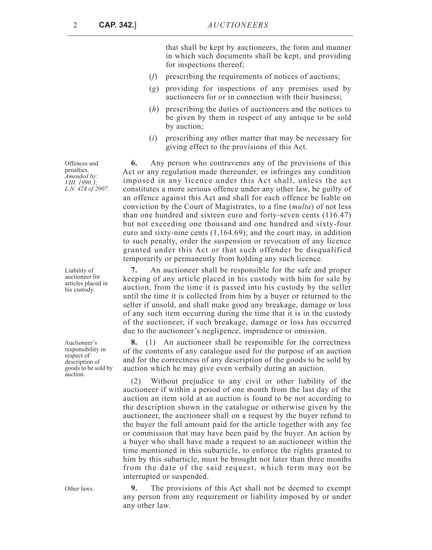2 **CAP. 342.**]*AUCTIONEERS*

that shall be kept by auctioneers, the form and manner in which such documents shall be kept, and providing for inspections thereof;

- (*f*) prescribing the requirements of notices of auctions;
- (*g*) providing for inspections of any premises used by auctioneers for or in connection with their business;
- (*h*) prescribing the duties of auctioneers and the notices to be given by them in respect of any antique to be sold by auction;
- (*i*) prescribing any other matter that may be necessary for giving effect to the provisions of this Act.

**6.** Any person who contravenes any of the provisions of this Act or any regulation made thereunder, or infringes any condition imposed in any licence under this Act shall, unless the act constitutes a more serious offence under any other law, be guilty of an offence against this Act and shall for each offence be liable on conviction by the Court of Magistrates, to a fine (*multa*) of not less than one hundred and sixteen euro and forty-seven cents (116.47) but not exceeding one thousand and one hundred and sixty-four euro and sixty-nine cents (1,164.69); and the court may, in addition to such penalty, order the suspension or revocation of any licence granted under this Act or that such offender be disqualified temporarily or permanently from holding any such licence.

**7.** An auctioneer shall be responsible for the safe and proper keeping of any article placed in his custody with him for sale by auction, from the time it is passed into his custody by the seller until the time it is collected from him by a buyer or returned to the seller if unsold, and shall make good any breakage, damage or loss of any such item occurring during the time that it is in the custody of the auctioneer, if such breakage, damage or loss has occurred due to the auctioneer's negligence, imprudence or omission.

**8.** (1) An auctioneer shall be responsible for the correctness of the contents of any catalogue used for the purpose of an auction and for the correctness of any description of the goods to be sold by auction which he may give even verbally during an auction.

(2) Without prejudice to any civil or other liability of the auctioneer if within a period of one month from the last day of the auction an item sold at an auction is found to be not according to the description shown in the catalogue or otherwise given by the auctioneer, the auctioneer shall on a request by the buyer refund to the buyer the full amount paid for the article together with any fee or commission that may have been paid by the buyer. An action by a buyer who shall have made a request to an auctioneer within the time mentioned in this subarticle, to enforce the rights granted to him by this subarticle, must be brought not later than three months from the date of the said request, which term may not be interrupted or suspended.

Other laws. **9.** The provisions of this Act shall not be deemed to exempt any person from any requirement or liability imposed by or under any other law.

Offences and penalties. *Amended by: VIII. 1990.3; L.N. 424 of 2007.*

Liability of auctioneer for articles placed in his custody.

Auctioneer's responsibility in respect of description of goods to be sold by auction.